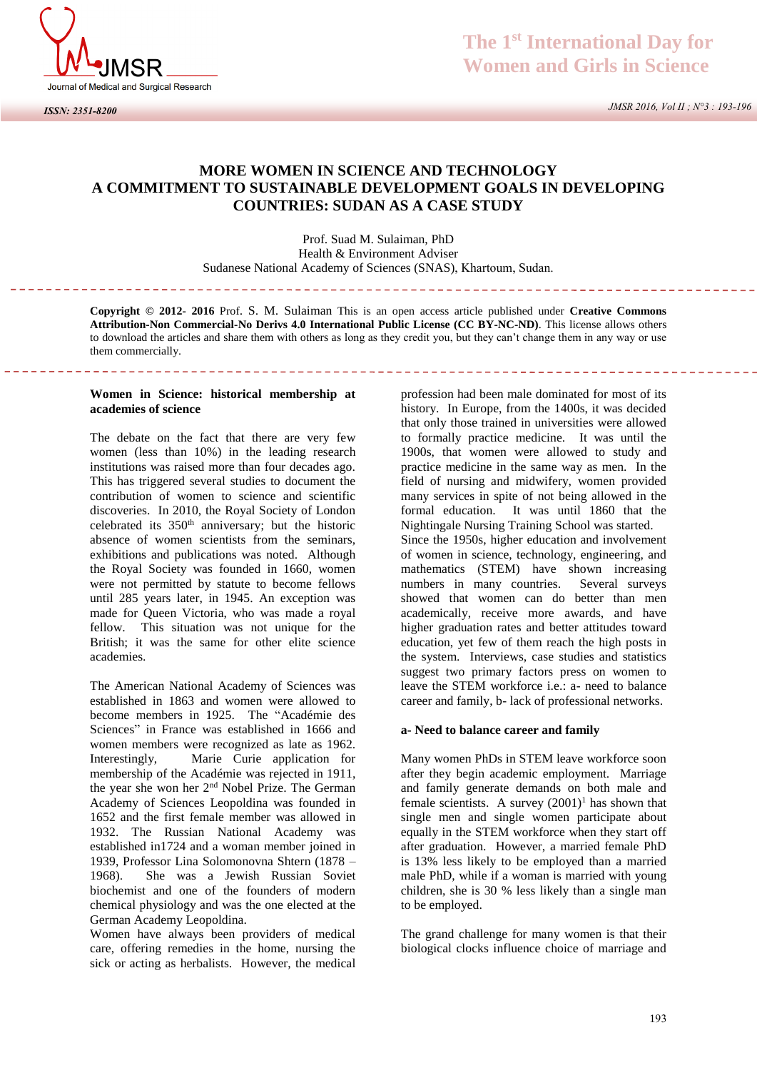

*ISSN: 2351-8200*

 *JMSR 2016, Vol II ; N°3 : 193-196*

## **MORE WOMEN IN SCIENCE AND TECHNOLOGY A COMMITMENT TO SUSTAINABLE DEVELOPMENT GOALS IN DEVELOPING COUNTRIES: SUDAN AS A CASE STUDY**

Prof. Suad M. Sulaiman, PhD Health & Environment Adviser Sudanese National Academy of Sciences (SNAS), Khartoum, Sudan.

**Copyright © 2012- 2016** Prof. S. M. Sulaiman This is an open access article published under **Creative Commons Attribution-Non Commercial-No Derivs 4.0 International Public License (CC BY-NC-ND)**. This license allows others to download the articles and share them with others as long as they credit you, but they can't change them in any way or use them commercially.

#### **Women in Science: historical membership at academies of science**

the control of the control of the control of the control of the control of the control of

The debate on the fact that there are very few women (less than 10%) in the leading research institutions was raised more than four decades ago. This has triggered several studies to document the contribution of women to science and scientific discoveries. In 2010, the Royal Society of London celebrated its 350<sup>th</sup> anniversary; but the historic absence of women scientists from the seminars, exhibitions and publications was noted. Although the Royal Society was founded in 1660, women were not permitted by statute to become fellows until 285 years later, in 1945. An exception was made for Queen Victoria, who was made a royal fellow. This situation was not unique for the British; it was the same for other elite science academies.

The American National Academy of Sciences was established in 1863 and women were allowed to become members in 1925. The "Académie des Sciences" in France was established in 1666 and women members were recognized as late as 1962. Interestingly, Marie Curie application for membership of the Académie was rejected in 1911, the year she won her 2nd Nobel Prize. The German Academy of Sciences Leopoldina was founded in 1652 and the first female member was allowed in 1932. The Russian National Academy was established in1724 and a woman member joined in 1939, Professor Lina Solomonovna Shtern (1878 – 1968). She was a Jewish Russian Soviet biochemist and one of the founders of modern chemical physiology and was the one elected at the German Academy Leopoldina.

Women have always been providers of medical care, offering remedies in the home, nursing the sick or acting as herbalists. However, the medical

profession had been male dominated for most of its history. In Europe, from the 1400s, it was decided that only those trained in universities were allowed to formally practice medicine. It was until the 1900s, that women were allowed to study and practice medicine in the same way as men. In the field of nursing and midwifery, women provided many services in spite of not being allowed in the formal education. It was until 1860 that the Nightingale Nursing Training School was started. Since the 1950s, higher education and involvement of women in science, technology, engineering, and mathematics (STEM) have shown increasing numbers in many countries. Several surveys showed that women can do better than men academically, receive more awards, and have higher graduation rates and better attitudes toward education, yet few of them reach the high posts in the system. Interviews, case studies and statistics suggest two primary factors press on women to leave the STEM workforce i.e.: a- need to balance career and family, b- lack of professional networks.

#### **a- Need to balance career and family**

Many women PhDs in STEM leave workforce soon after they begin academic employment. Marriage and family generate demands on both male and female scientists. A survey  $(2001)^1$  has shown that single men and single women participate about equally in the STEM workforce when they start off after graduation. However, a married female PhD is 13% less likely to be employed than a married male PhD, while if a woman is married with young children, she is 30 % less likely than a single man to be employed.

The grand challenge for many women is that their biological clocks influence choice of marriage and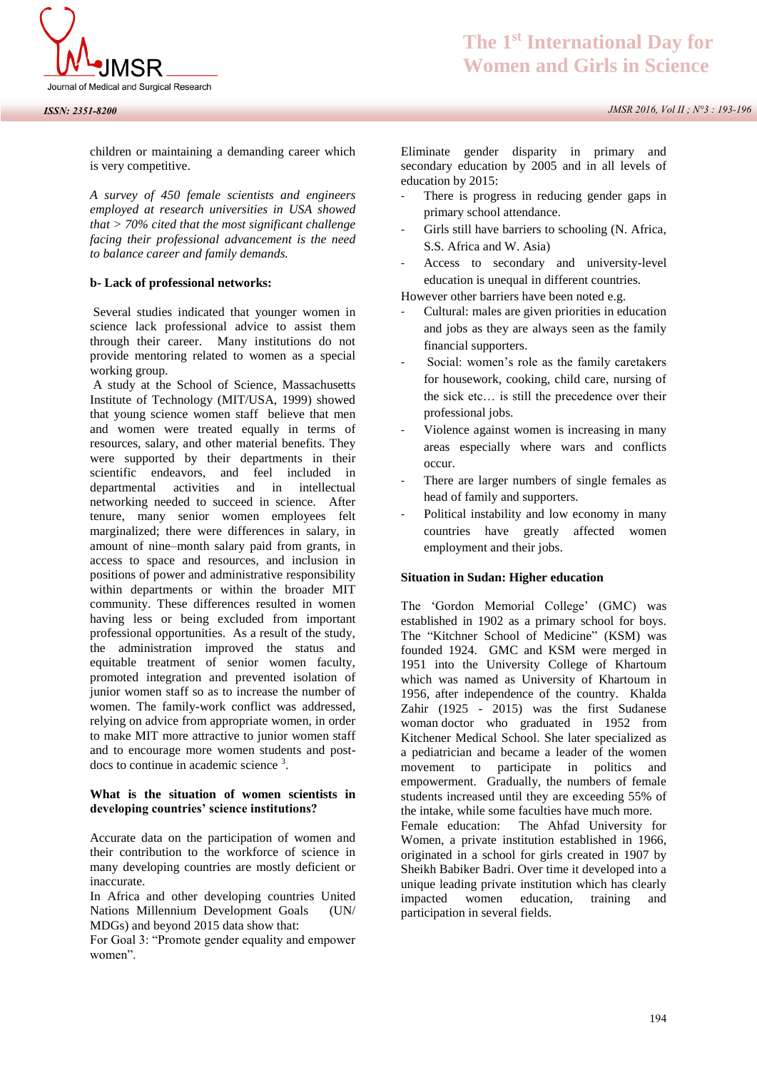

children or maintaining a demanding career which is very competitive.

*A survey of 450 female scientists and engineers employed at research universities in USA showed that > 70% cited that the most significant challenge facing their professional advancement is the need to balance career and family demands.* 

#### **b- Lack of professional networks:**

 Several studies indicated that younger women in science lack professional advice to assist them through their career. Many institutions do not provide mentoring related to women as a special working group.

 A study at the School of Science, Massachusetts Institute of Technology (MIT/USA, 1999) showed that young science women staff believe that men and women were treated equally in terms of resources, salary, and other material benefits. They were supported by their departments in their scientific endeavors, and feel included in departmental activities and in intellectual networking needed to succeed in science. After tenure, many senior women employees felt marginalized; there were differences in salary, in amount of nine–month salary paid from grants, in access to space and resources, and inclusion in positions of power and administrative responsibility within departments or within the broader MIT community. These differences resulted in women having less or being excluded from important professional opportunities. As a result of the study, the administration improved the status and equitable treatment of senior women faculty, promoted integration and prevented isolation of junior women staff so as to increase the number of women. The family-work conflict was addressed, relying on advice from appropriate women, in order to make MIT more attractive to junior women staff and to encourage more women students and postdocs to continue in academic science <sup>3</sup> .

### **What is the situation of women scientists in developing countries' science institutions?**

Accurate data on the participation of women and their contribution to the workforce of science in many developing countries are mostly deficient or inaccurate.

In Africa and other developing countries United Nations Millennium Development Goals (UN/ MDGs) and beyond 2015 data show that:

For Goal 3: "Promote gender equality and empower women".

Eliminate gender disparity in primary and secondary education by 2005 and in all levels of education by 2015:

- There is progress in reducing gender gaps in primary school attendance.
- Girls still have barriers to schooling (N. Africa, S.S. Africa and W. Asia)
- Access to secondary and university-level education is unequal in different countries.

However other barriers have been noted e.g.

- Cultural: males are given priorities in education and jobs as they are always seen as the family financial supporters.
- Social: women's role as the family caretakers for housework, cooking, child care, nursing of the sick etc… is still the precedence over their professional jobs.
- Violence against women is increasing in many areas especially where wars and conflicts occur.
- There are larger numbers of single females as head of family and supporters.
- Political instability and low economy in many countries have greatly affected women employment and their jobs.

#### **Situation in Sudan: Higher education**

The 'Gordon Memorial College' (GMC) was established in 1902 as a primary school for boys. The "Kitchner School of Medicine" (KSM) was founded 1924. GMC and KSM were merged in 1951 into the University College of Khartoum which was named as University of Khartoum in 1956, after independence of the country. Khalda Zahir (1925 - 2015) was the first Sudanese woman doctor who graduated in 1952 from Kitchener Medical School. She later specialized as a pediatrician and became a leader of the women movement to participate in politics and empowerment. Gradually, the numbers of female students increased until they are exceeding 55% of the intake, while some faculties have much more. Female education: The Ahfad University for Women, a private institution established in 1966, originated in a school for girls created in 1907 by Sheikh Babiker Badri. Over time it developed into a

unique leading private institution which has clearly impacted women education, training and participation in several fields.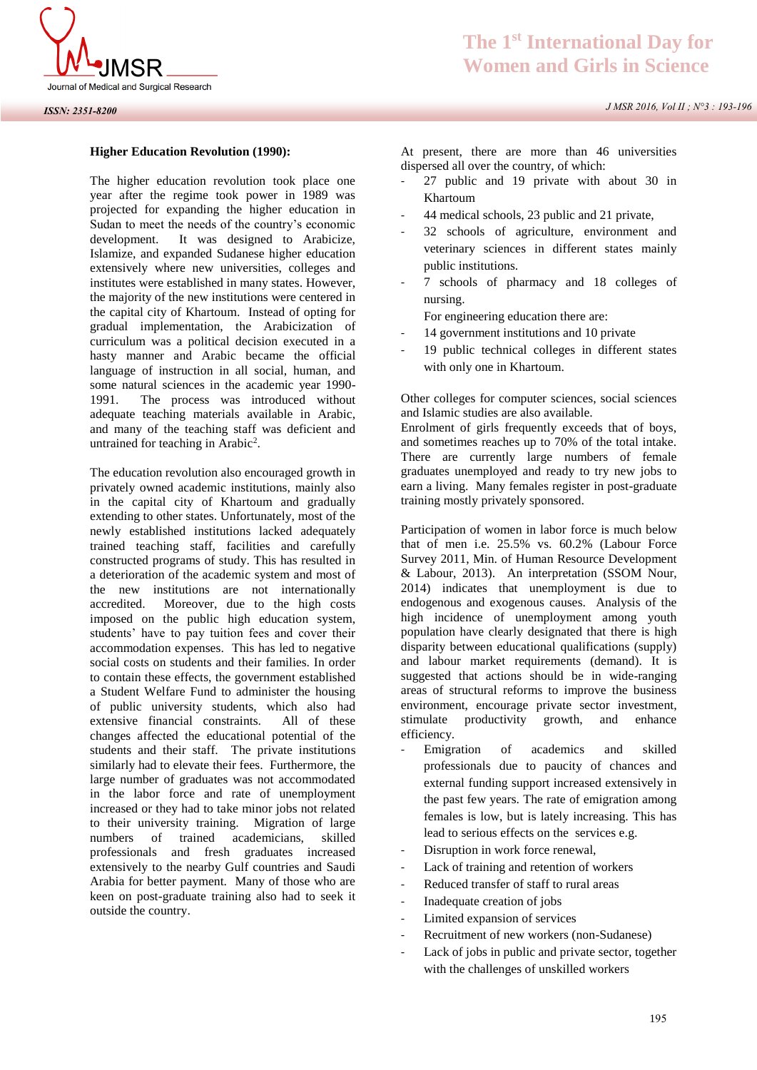

*J MSR 2016, Vol II ; N°3 : 193-196*

#### **Higher Education Revolution (1990):**

The higher education revolution took place one year after the regime took power in 1989 was projected for expanding the higher education in Sudan to meet the needs of the country's economic development. It was designed to Arabicize, Islamize, and expanded Sudanese higher education extensively where new universities, colleges and institutes were established in many states. However, the majority of the new institutions were centered in the capital city of Khartoum. Instead of opting for gradual implementation, the Arabicization of curriculum was a political decision executed in a hasty manner and Arabic became the official language of instruction in all social, human, and some natural sciences in the academic year 1990- 1991. The process was introduced without adequate teaching materials available in Arabic, and many of the teaching staff was deficient and untrained for teaching in Arabic<sup>2</sup>.

The education revolution also encouraged growth in privately owned academic institutions, mainly also in the capital city of Khartoum and gradually extending to other states. Unfortunately, most of the newly established institutions lacked adequately trained teaching staff, facilities and carefully constructed programs of study. This has resulted in a deterioration of the academic system and most of the new institutions are not internationally accredited. Moreover, due to the high costs imposed on the public high education system, students' have to pay tuition fees and cover their accommodation expenses. This has led to negative social costs on students and their families. In order to contain these effects, the government established a Student Welfare Fund to administer the housing of public university students, which also had extensive financial constraints. All of these changes affected the educational potential of the students and their staff. The private institutions similarly had to elevate their fees. Furthermore, the large number of graduates was not accommodated in the labor force and rate of unemployment increased or they had to take minor jobs not related to their university training. Migration of large numbers of trained academicians, skilled professionals and fresh graduates increased extensively to the nearby Gulf countries and Saudi Arabia for better payment. Many of those who are keen on post-graduate training also had to seek it outside the country.

At present, there are more than 46 universities dispersed all over the country, of which:

- 27 public and 19 private with about 30 in Khartoum
- 44 medical schools, 23 public and 21 private,
- 32 schools of agriculture, environment and veterinary sciences in different states mainly public institutions.
- 7 schools of pharmacy and 18 colleges of nursing.

For engineering education there are:

- 14 government institutions and 10 private
- 19 public technical colleges in different states with only one in Khartoum.

Other colleges for computer sciences, social sciences and Islamic studies are also available.

Enrolment of girls frequently exceeds that of boys, and sometimes reaches up to 70% of the total intake. There are currently large numbers of female graduates unemployed and ready to try new jobs to earn a living. Many females register in post-graduate training mostly privately sponsored.

Participation of women in labor force is much below that of men i.e. 25.5% vs. 60.2% (Labour Force Survey 2011, Min. of Human Resource Development & Labour, 2013). An interpretation (SSOM Nour, 2014) indicates that unemployment is due to endogenous and exogenous causes. Analysis of the high incidence of unemployment among youth population have clearly designated that there is high disparity between educational qualifications (supply) and labour market requirements (demand). It is suggested that actions should be in wide-ranging areas of structural reforms to improve the business environment, encourage private sector investment, stimulate productivity growth, and enhance efficiency.

- Emigration of academics and skilled professionals due to paucity of chances and external funding support increased extensively in the past few years. The rate of emigration among females is low, but is lately increasing. This has lead to serious effects on the services e.g.
- Disruption in work force renewal,
- Lack of training and retention of workers
- Reduced transfer of staff to rural areas
- Inadequate creation of jobs
- Limited expansion of services
- Recruitment of new workers (non-Sudanese)
- Lack of jobs in public and private sector, together with the challenges of unskilled workers